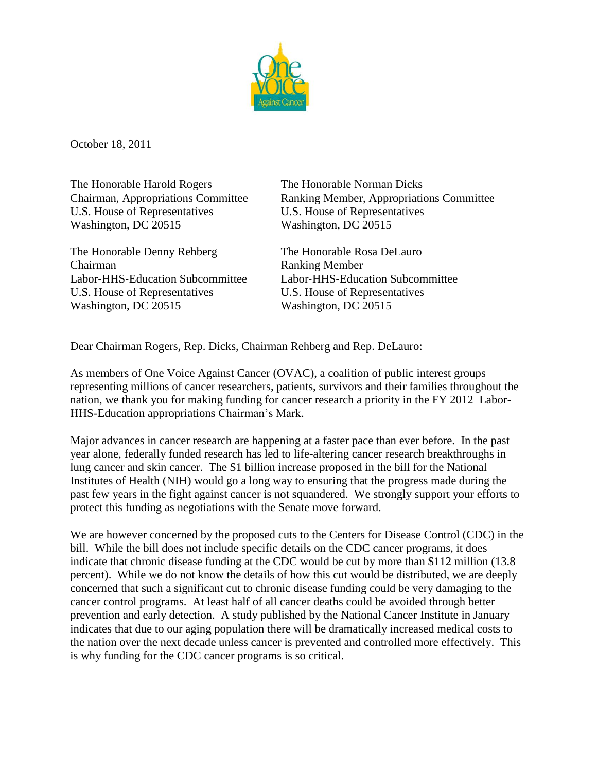

October 18, 2011

The Honorable Harold Rogers The Honorable Norman Dicks U.S. House of Representatives U.S. House of Representatives Washington, DC 20515 Washington, DC 20515

The Honorable Denny Rehberg The Honorable Rosa DeLauro Chairman Ranking Member U.S. House of Representatives U.S. House of Representatives Washington, DC 20515 Washington, DC 20515

Chairman, Appropriations Committee Ranking Member, Appropriations Committee

Labor‐HHS‐Education Subcommittee Labor‐HHS‐Education Subcommittee

Dear Chairman Rogers, Rep. Dicks, Chairman Rehberg and Rep. DeLauro:

As members of One Voice Against Cancer (OVAC), a coalition of public interest groups representing millions of cancer researchers, patients, survivors and their families throughout the nation, we thank you for making funding for cancer research a priority in the FY 2012 Labor-HHS-Education appropriations Chairman's Mark.

Major advances in cancer research are happening at a faster pace than ever before. In the past year alone, federally funded research has led to life-altering cancer research breakthroughs in lung cancer and skin cancer. The \$1 billion increase proposed in the bill for the National Institutes of Health (NIH) would go a long way to ensuring that the progress made during the past few years in the fight against cancer is not squandered. We strongly support your efforts to protect this funding as negotiations with the Senate move forward.

We are however concerned by the proposed cuts to the Centers for Disease Control (CDC) in the bill. While the bill does not include specific details on the CDC cancer programs, it does indicate that chronic disease funding at the CDC would be cut by more than \$112 million (13.8 percent). While we do not know the details of how this cut would be distributed, we are deeply concerned that such a significant cut to chronic disease funding could be very damaging to the cancer control programs. At least half of all cancer deaths could be avoided through better prevention and early detection. A study published by the National Cancer Institute in January indicates that due to our aging population there will be dramatically increased medical costs to the nation over the next decade unless cancer is prevented and controlled more effectively. This is why funding for the CDC cancer programs is so critical.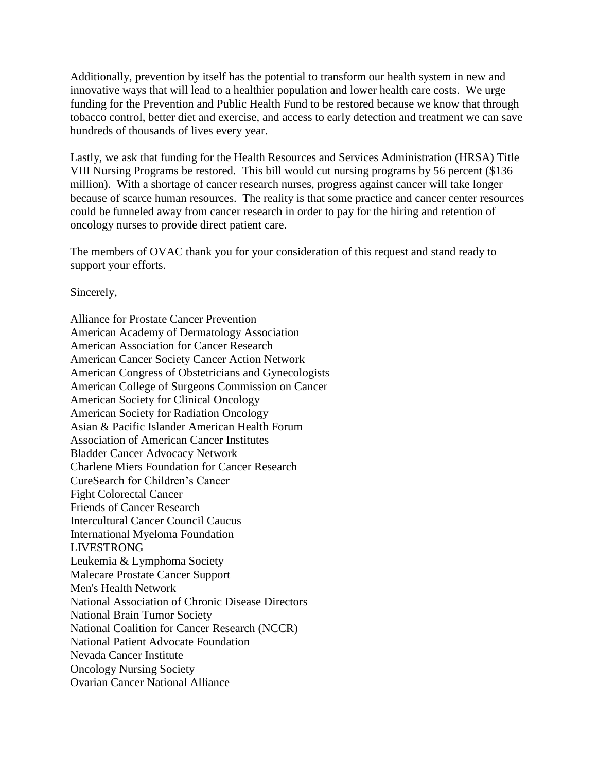Additionally, prevention by itself has the potential to transform our health system in new and innovative ways that will lead to a healthier population and lower health care costs. We urge funding for the Prevention and Public Health Fund to be restored because we know that through tobacco control, better diet and exercise, and access to early detection and treatment we can save hundreds of thousands of lives every year.

Lastly, we ask that funding for the Health Resources and Services Administration (HRSA) Title VIII Nursing Programs be restored. This bill would cut nursing programs by 56 percent (\$136 million). With a shortage of cancer research nurses, progress against cancer will take longer because of scarce human resources. The reality is that some practice and cancer center resources could be funneled away from cancer research in order to pay for the hiring and retention of oncology nurses to provide direct patient care.

The members of OVAC thank you for your consideration of this request and stand ready to support your efforts.

Sincerely,

Alliance for Prostate Cancer Prevention American Academy of Dermatology Association American Association for Cancer Research American Cancer Society Cancer Action Network American Congress of Obstetricians and Gynecologists American College of Surgeons Commission on Cancer American Society for Clinical Oncology American Society for Radiation Oncology Asian & Pacific Islander American Health Forum Association of American Cancer Institutes Bladder Cancer Advocacy Network Charlene Miers Foundation for Cancer Research CureSearch for Children's Cancer Fight Colorectal Cancer Friends of Cancer Research Intercultural Cancer Council Caucus International Myeloma Foundation LIVESTRONG Leukemia & Lymphoma Society Malecare Prostate Cancer Support Men's Health Network National Association of Chronic Disease Directors National Brain Tumor Society National Coalition for Cancer Research (NCCR) National Patient Advocate Foundation Nevada Cancer Institute Oncology Nursing Society Ovarian Cancer National Alliance